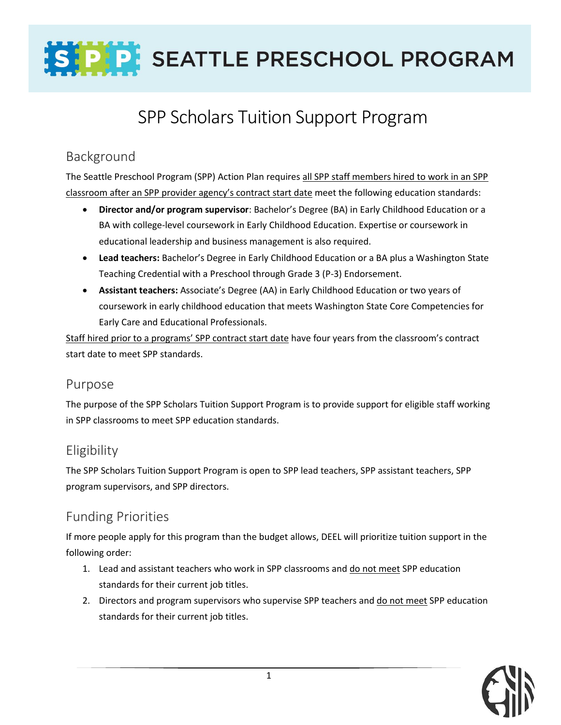

### SPP Scholars Tuition Support Program

#### Background

The Seattle Preschool Program (SPP) Action Plan requires all SPP staff members hired to work in an SPP classroom after an SPP provider agency's contract start date meet the following education standards:

- **Director and/or program supervisor**: Bachelor's Degree (BA) in Early Childhood Education or a BA with college-level coursework in Early Childhood Education. Expertise or coursework in educational leadership and business management is also required.
- **Lead teachers:** Bachelor's Degree in Early Childhood Education or a BA plus a Washington State Teaching Credential with a Preschool through Grade 3 (P-3) Endorsement.
- **Assistant teachers:** Associate's Degree (AA) in Early Childhood Education or two years of coursework in early childhood education that meets Washington State Core Competencies for Early Care and Educational Professionals.

Staff hired prior to a programs' SPP contract start date have four years from the classroom's contract start date to meet SPP standards.

#### Purpose

The purpose of the SPP Scholars Tuition Support Program is to provide support for eligible staff working in SPP classrooms to meet SPP education standards.

### **Eligibility**

The SPP Scholars Tuition Support Program is open to SPP lead teachers, SPP assistant teachers, SPP program supervisors, and SPP directors.

### Funding Priorities

If more people apply for this program than the budget allows, DEEL will prioritize tuition support in the following order:

- 1. Lead and assistant teachers who work in SPP classrooms and do not meet SPP education standards for their current job titles.
- 2. Directors and program supervisors who supervise SPP teachers and do not meet SPP education standards for their current job titles.

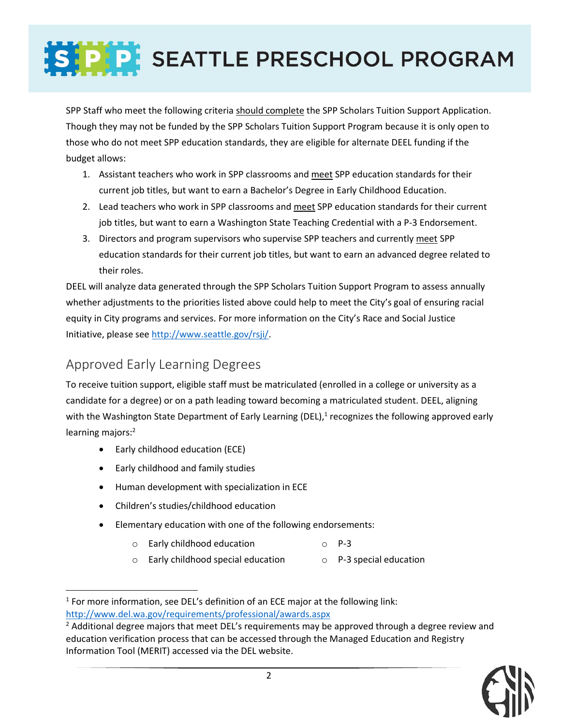# SEPEPE SEATTLE PRESCHOOL PROGRAM

SPP Staff who meet the following criteria should complete the SPP Scholars Tuition Support Application. Though they may not be funded by the SPP Scholars Tuition Support Program because it is only open to those who do not meet SPP education standards, they are eligible for alternate DEEL funding if the budget allows:

- 1. Assistant teachers who work in SPP classrooms and meet SPP education standards for their current job titles, but want to earn a Bachelor's Degree in Early Childhood Education.
- 2. Lead teachers who work in SPP classrooms and meet SPP education standards for their current job titles, but want to earn a Washington State Teaching Credential with a P-3 Endorsement.
- 3. Directors and program supervisors who supervise SPP teachers and currently meet SPP education standards for their current job titles, but want to earn an advanced degree related to their roles.

DEEL will analyze data generated through the SPP Scholars Tuition Support Program to assess annually whether adjustments to the priorities listed above could help to meet the City's goal of ensuring racial equity in City programs and services. For more information on the City's Race and Social Justice Initiative, please se[e http://www.seattle.gov/rsji/.](http://www.seattle.gov/rsji/)

### Approved Early Learning Degrees

To receive tuition support, eligible staff must be matriculated (enrolled in a college or university as a candidate for a degree) or on a path leading toward becoming a matriculated student. DEEL, aligning with the Washington State Department of Early Learning (DEL),<sup>1</sup> recognizes the following approved early learning majors:<sup>2</sup>

• Early childhood education (ECE)

 $\overline{a}$ 

- Early childhood and family studies
- Human development with specialization in ECE
- Children's studies/childhood education
- Elementary education with one of the following endorsements:
	- o Early childhood education o P-3
	- o Early childhood special education o P-3 special education

 $<sup>2</sup>$  Additional degree majors that meet DEL's requirements may be approved through a degree review and</sup> education verification process that can be accessed through the Managed Education and Registry Information Tool (MERIT) accessed via the DEL website.



 $1$  For more information, see DEL's definition of an ECE major at the following link: [http://www.del.wa.gov/requirements/professional/awards.aspx](http://www.del.wa.gov/publications/PD/docs/Education%20verification%20-%20About%20Education%20Verification.pdf)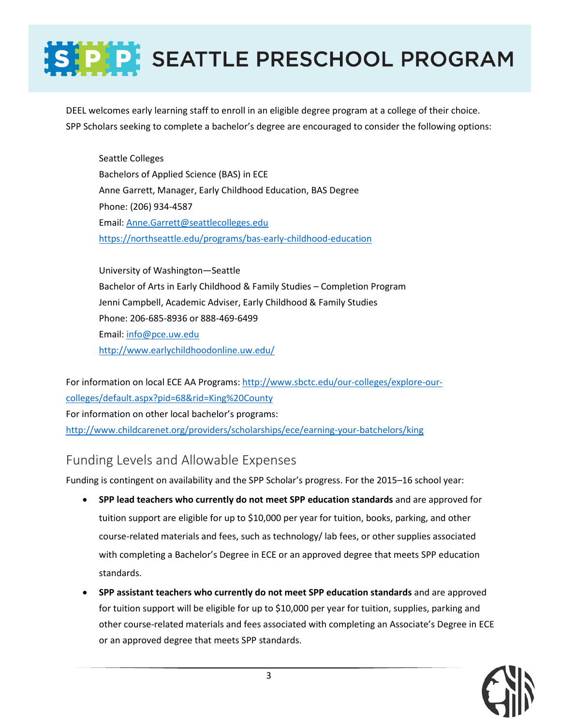# SPP PESEATTLE PRESCHOOL PROGRAM

DEEL welcomes early learning staff to enroll in an eligible degree program at a college of their choice. SPP Scholars seeking to complete a bachelor's degree are encouraged to consider the following options:

Seattle Colleges Bachelors of Applied Science (BAS) in ECE Anne Garrett, Manager, Early Childhood Education, BAS Degree Phone: (206) 934-4587 Email: [Anne.Garrett@seattlecolleges.edu](mailto:Anne.Garrett@seattlecolleges.edu) <https://northseattle.edu/programs/bas-early-childhood-education>

University of Washington—Seattle Bachelor of Arts in Early Childhood & Family Studies – Completion Program Jenni Campbell, Academic Adviser, Early Childhood & Family Studies Phone: 206-685-8936 or 888-469-6499 Email: [info@pce.uw.edu](mailto:info@pce.uw.edu) <http://www.earlychildhoodonline.uw.edu/>

For information on local ECE AA Programs: [http://www.sbctc.edu/our-colleges/explore-our](http://www.sbctc.edu/our-colleges/explore-our-colleges/default.aspx?pid=68&rid=King%20County)[colleges/default.aspx?pid=68&rid=King%20County](http://www.sbctc.edu/our-colleges/explore-our-colleges/default.aspx?pid=68&rid=King%20County) For information on other local bachelor's programs: <http://www.childcarenet.org/providers/scholarships/ece/earning-your-batchelors/king>

### Funding Levels and Allowable Expenses

Funding is contingent on availability and the SPP Scholar's progress. For the 2015–16 school year:

- **SPP lead teachers who currently do not meet SPP education standards** and are approved for tuition support are eligible for up to \$10,000 per year for tuition, books, parking, and other course-related materials and fees, such as technology/ lab fees, or other supplies associated with completing a Bachelor's Degree in ECE or an approved degree that meets SPP education standards.
- **SPP assistant teachers who currently do not meet SPP education standards** and are approved for tuition support will be eligible for up to \$10,000 per year for tuition, supplies, parking and other course-related materials and fees associated with completing an Associate's Degree in ECE or an approved degree that meets SPP standards.

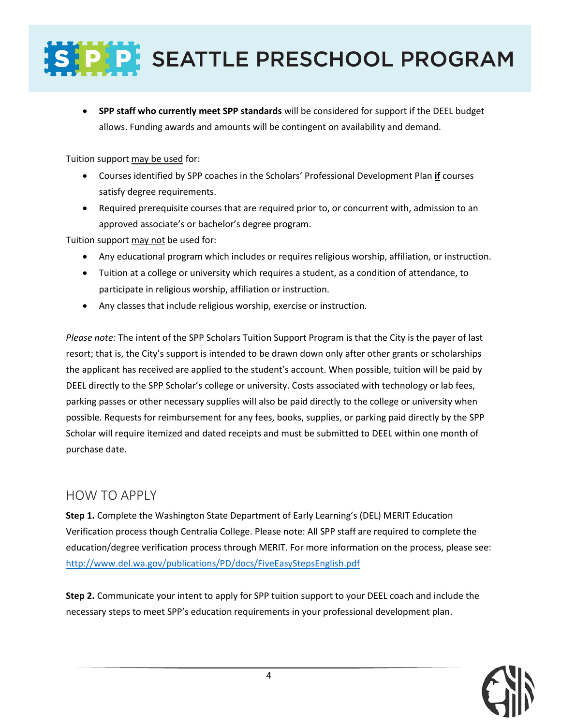# SPP PESEATTLE PRESCHOOL PROGRAM

 **SPP staff who currently meet SPP standards** will be considered for support if the DEEL budget allows. Funding awards and amounts will be contingent on availability and demand.

Tuition support may be used for:

- Courses identified by SPP coaches in the Scholars' Professional Development Plan **if** courses satisfy degree requirements.
- Required prerequisite courses that are required prior to, or concurrent with, admission to an approved associate's or bachelor's degree program.

Tuition support may not be used for:

- Any educational program which includes or requires religious worship, affiliation, or instruction.
- Tuition at a college or university which requires a student, as a condition of attendance, to participate in religious worship, affiliation or instruction.
- Any classes that include religious worship, exercise or instruction.

*Please note:* The intent of the SPP Scholars Tuition Support Program is that the City is the payer of last resort; that is, the City's support is intended to be drawn down only after other grants or scholarships the applicant has received are applied to the student's account. When possible, tuition will be paid by DEEL directly to the SPP Scholar's college or university. Costs associated with technology or lab fees, parking passes or other necessary supplies will also be paid directly to the college or university when possible. Requests for reimbursement for any fees, books, supplies, or parking paid directly by the SPP Scholar will require itemized and dated receipts and must be submitted to DEEL within one month of purchase date.

#### HOW TO APPLY

**Step 1.** Complete the Washington State Department of Early Learning's (DEL) MERIT Education Verification process though Centralia College. Please note: All SPP staff are required to complete the education/degree verification process through MERIT. For more information on the process, please see: <http://www.del.wa.gov/publications/PD/docs/FiveEasyStepsEnglish.pdf>

**Step 2.** Communicate your intent to apply for SPP tuition support to your DEEL coach and include the necessary steps to meet SPP's education requirements in your professional development plan.

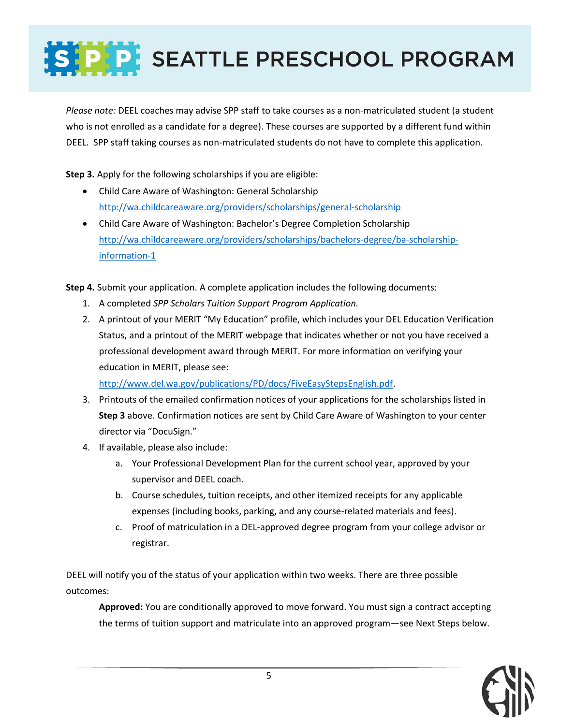# SPP PESEATTLE PRESCHOOL PROGRAM

*Please note:* DEEL coaches may advise SPP staff to take courses as a non-matriculated student (a student who is not enrolled as a candidate for a degree). These courses are supported by a different fund within DEEL. SPP staff taking courses as non-matriculated students do not have to complete this application.

**Step 3.** Apply for the following scholarships if you are eligible:

- Child Care Aware of Washington: General Scholarship <http://wa.childcareaware.org/providers/scholarships/general-scholarship>
- Child Care Aware of Washington: Bachelor's Degree Completion Scholarship [http://wa.childcareaware.org/providers/scholarships/bachelors-degree/ba-scholarship](http://wa.childcareaware.org/providers/scholarships/bachelors-degree/ba-scholarship-information-1)[information-1](http://wa.childcareaware.org/providers/scholarships/bachelors-degree/ba-scholarship-information-1)

**Step 4.** Submit your application. A complete application includes the following documents:

- 1. A completed *SPP Scholars Tuition Support Program Application.*
- 2. A printout of your MERIT "My Education" profile, which includes your DEL Education Verification Status, and a printout of the MERIT webpage that indicates whether or not you have received a professional development award through MERIT. For more information on verifying your education in MERIT, please see:

[http://www.del.wa.gov/publications/PD/docs/FiveEasyStepsEnglish.pdf.](http://www.del.wa.gov/publications/PD/docs/FiveEasyStepsEnglish.pdf)

- 3. Printouts of the emailed confirmation notices of your applications for the scholarships listed in **Step 3** above. Confirmation notices are sent by Child Care Aware of Washington to your center director via "DocuSign."
- 4. If available, please also include:
	- a. Your Professional Development Plan for the current school year, approved by your supervisor and DEEL coach.
	- b. Course schedules, tuition receipts, and other itemized receipts for any applicable expenses (including books, parking, and any course-related materials and fees).
	- c. Proof of matriculation in a DEL-approved degree program from your college advisor or registrar.

DEEL will notify you of the status of your application within two weeks. There are three possible outcomes:

**Approved:** You are conditionally approved to move forward. You must sign a contract accepting the terms of tuition support and matriculate into an approved program—see Next Steps below.

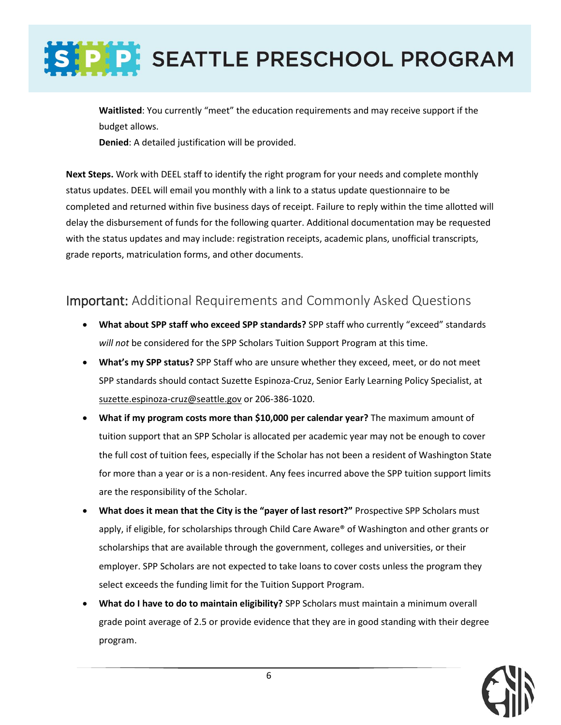# SEPEPE SEATTLE PRESCHOOL PROGRAM

**Waitlisted**: You currently "meet" the education requirements and may receive support if the budget allows.

**Denied**: A detailed justification will be provided.

**Next Steps.** Work with DEEL staff to identify the right program for your needs and complete monthly status updates. DEEL will email you monthly with a link to a status update questionnaire to be completed and returned within five business days of receipt. Failure to reply within the time allotted will delay the disbursement of funds for the following quarter. Additional documentation may be requested with the status updates and may include: registration receipts, academic plans, unofficial transcripts, grade reports, matriculation forms, and other documents.

#### Important: Additional Requirements and Commonly Asked Questions

- **What about SPP staff who exceed SPP standards?** SPP staff who currently "exceed" standards *will not* be considered for the SPP Scholars Tuition Support Program at this time.
- **What's my SPP status?** SPP Staff who are unsure whether they exceed, meet, or do not meet SPP standards should contact Suzette Espinoza-Cruz, Senior Early Learning Policy Specialist, at [suzette.espinoza-cruz@seattle.gov](mailto:suzette.espinoza-cruz@seattle.gov) or 206-386-1020.
- **What if my program costs more than \$10,000 per calendar year?** The maximum amount of tuition support that an SPP Scholar is allocated per academic year may not be enough to cover the full cost of tuition fees, especially if the Scholar has not been a resident of Washington State for more than a year or is a non-resident. Any fees incurred above the SPP tuition support limits are the responsibility of the Scholar.
- **What does it mean that the City is the "payer of last resort?"** Prospective SPP Scholars must apply, if eligible, for scholarships through Child Care Aware® of Washington and other grants or scholarships that are available through the government, colleges and universities, or their employer. SPP Scholars are not expected to take loans to cover costs unless the program they select exceeds the funding limit for the Tuition Support Program.
- **What do I have to do to maintain eligibility?** SPP Scholars must maintain a minimum overall grade point average of 2.5 or provide evidence that they are in good standing with their degree program.